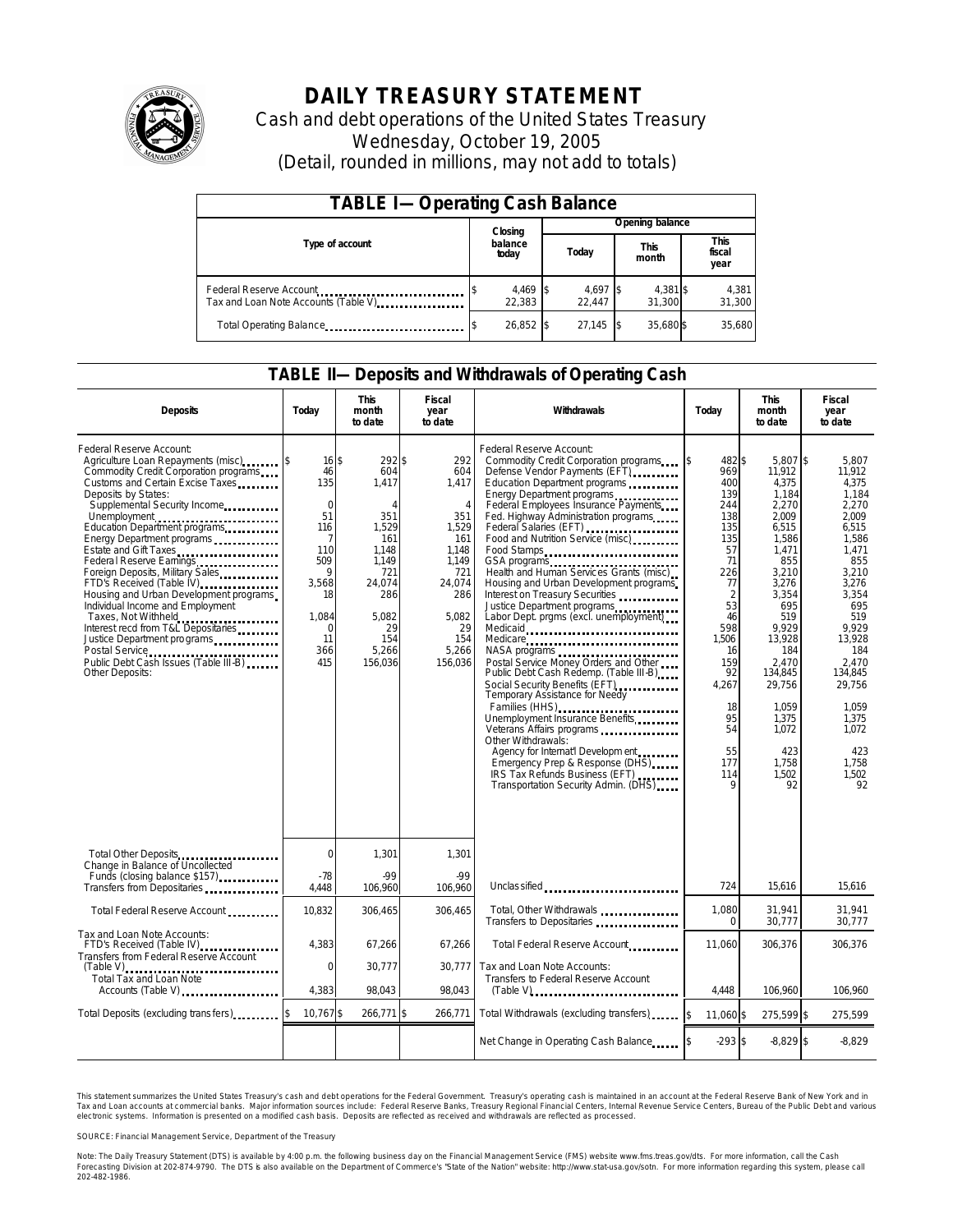

# **DAILY TREASURY STATEMENT**

Cash and debt operations of the United States Treasury Wednesday, October 19, 2005 (Detail, rounded in millions, may not add to totals)

| <b>TABLE I-Operating Cash Balance</b>                           |                      |  |                               |  |                    |                        |                 |
|-----------------------------------------------------------------|----------------------|--|-------------------------------|--|--------------------|------------------------|-----------------|
|                                                                 | Closing              |  | Opening balance               |  |                    |                        |                 |
| Type of account                                                 | balance<br>today     |  | <b>This</b><br>Today<br>month |  |                    | This<br>fiscal<br>year |                 |
| Federal Reserve Account<br>Tax and Loan Note Accounts (Table V) | $4,469$ \$<br>22.383 |  | 4,697 \$<br>22.447            |  | 4,381 \$<br>31.300 |                        | 4,381<br>31,300 |
| Total Operating Balance                                         | $26,852$ \$          |  | 27,145                        |  | 35,680 \$          |                        | 35,680          |

### **TABLE II—Deposits and Withdrawals of Operating Cash**

| <b>Deposits</b>                                                                                                                                                                                                                                                                                                                                                                                                                                                                                                                                                                                                                                    | Today                                                                                                                     | <b>This</b><br>month<br>to date                                                                                                              | <b>Fiscal</b><br>year<br>to date                                                                                                                 | Withdrawals                                                                                                                                                                                                                                                                                                                                                                                                                                                                                                                                                                                                                                                                                                                                                                                                                                                                                                                                                                        | Today                                                                                                                                                                                                 |                                                                                                                                                                                                                                                     | <b>Fiscal</b><br>year<br>to date                                                                                                                                                                                                                 |
|----------------------------------------------------------------------------------------------------------------------------------------------------------------------------------------------------------------------------------------------------------------------------------------------------------------------------------------------------------------------------------------------------------------------------------------------------------------------------------------------------------------------------------------------------------------------------------------------------------------------------------------------------|---------------------------------------------------------------------------------------------------------------------------|----------------------------------------------------------------------------------------------------------------------------------------------|--------------------------------------------------------------------------------------------------------------------------------------------------|------------------------------------------------------------------------------------------------------------------------------------------------------------------------------------------------------------------------------------------------------------------------------------------------------------------------------------------------------------------------------------------------------------------------------------------------------------------------------------------------------------------------------------------------------------------------------------------------------------------------------------------------------------------------------------------------------------------------------------------------------------------------------------------------------------------------------------------------------------------------------------------------------------------------------------------------------------------------------------|-------------------------------------------------------------------------------------------------------------------------------------------------------------------------------------------------------|-----------------------------------------------------------------------------------------------------------------------------------------------------------------------------------------------------------------------------------------------------|--------------------------------------------------------------------------------------------------------------------------------------------------------------------------------------------------------------------------------------------------|
| Federal Reserve Account:<br>Agriculture Loan Repayments (misc) [\$<br>Commodity Credit Corporation programs<br>Customs and Certain Excise Taxes<br>Deposits by States:<br>Supplemental Security Income<br>Unemployment<br>Education Department programs<br>Energy Department programs<br>Estate and Gift Taxes<br>Federal Reserve Earnings<br>Foreign Deposits, Military Sales<br>FTD's Received (Table IV)<br>Housing and Urban Development programs<br>Individual Income and Employment<br>Taxes, Not Withheld<br>Interest recd from T&L Depositaries<br>Justice Department programs<br>Public Debt Cash Issues (Table III-B)<br>Other Deposits: | $16$ \$<br>46<br>135<br>$\mathbf 0$<br>51<br>116<br>7<br>110<br>509<br>9<br>3,568<br>18<br>1.084<br>0<br>11<br>366<br>415 | 292\$<br>604<br>1,417<br>$\Delta$<br>351<br>1,529<br>161<br>1.148<br>1,149<br>721<br>24,074<br>286<br>5.082<br>29<br>154<br>5,266<br>156,036 | 292<br>604<br>1,417<br>$\overline{4}$<br>351<br>1,529<br>161<br>1,148<br>1,149<br>721<br>24,074<br>286<br>5.082<br>29<br>154<br>5,266<br>156,036 | Federal Reserve Account:<br>Commodity Credit Corporation programs<br>Defense Vendor Payments (EFT)<br>Education Department programs<br>Energy Department programs<br>Federal Employees Insurance Payments<br>Fed. Highway Administration programs<br>Federal Salaries (EFT)<br>Food and Nutrition Service (misc)<br>Food Stamps<br>GSA programs<br>Health and Human Services Grants (misc)<br>Housing and Urban Development programs<br>Interest on Treasury Securities<br>Justice Department programs<br>Labor Dept. prgms (excl. unemployment)<br>Medicaid<br>Medicare<br>NASA programs<br>Postal Service Money Orders and Other<br>Public Debt Cash Redemp. (Table III-B)<br>Social Security Benefits (EFT)<br><br>Temporary Assistance for Needy<br>Families (HHS)<br>Unemployment Insurance Benefits<br>Other Withdrawals:<br>Agency for Internat'l Developm ent<br>Emergency Prep & Response (DHS)<br>IRS Tax Refunds Business (EFT)<br>Transportation Security Admin. (DHS) | 482 \$<br>969<br>400<br>139<br>244<br>138<br>135<br>135<br>57<br>71<br>226<br>77<br>$\overline{2}$<br>53<br>46<br>598<br>1,506<br>16<br>159<br>92<br>4,267<br>18<br>95<br>54<br>55<br>177<br>114<br>Q | 5,807 \$<br>11,912<br>4,375<br>1,184<br>2,270<br>2.009<br>6,515<br>1.586<br>1.471<br>855<br>3,210<br>3,276<br>3,354<br>695<br>519<br>9.929<br>13,928<br>184<br>2.470<br>134.845<br>29.756<br>1.059<br>1,375<br>1,072<br>423<br>1,758<br>1,502<br>92 | 5,807<br>11,912<br>4.375<br>1.184<br>2,270<br>2.009<br>6.515<br>1.586<br>1.471<br>855<br>3.210<br>3,276<br>3.354<br>695<br>519<br>9.929<br>13,928<br>184<br>2.470<br>134.845<br>29.756<br>1.059<br>1,375<br>1.072<br>423<br>1.758<br>1.502<br>92 |
| Total Other Deposits<br>Change in Balance of Uncollected<br>Funds (closing balance \$157)<br>Funds (closing balance \$157)                                                                                                                                                                                                                                                                                                                                                                                                                                                                                                                         | 0<br>$-78$                                                                                                                | 1,301<br>$-99$                                                                                                                               | 1,301<br>$-99$                                                                                                                                   |                                                                                                                                                                                                                                                                                                                                                                                                                                                                                                                                                                                                                                                                                                                                                                                                                                                                                                                                                                                    |                                                                                                                                                                                                       |                                                                                                                                                                                                                                                     |                                                                                                                                                                                                                                                  |
| Transfers from Depositaries                                                                                                                                                                                                                                                                                                                                                                                                                                                                                                                                                                                                                        | 4.448                                                                                                                     | 106.960                                                                                                                                      | 106.960                                                                                                                                          | Unclassified<br>                                                                                                                                                                                                                                                                                                                                                                                                                                                                                                                                                                                                                                                                                                                                                                                                                                                                                                                                                                   | 724                                                                                                                                                                                                   | 15.616                                                                                                                                                                                                                                              | 15,616                                                                                                                                                                                                                                           |
| Total Federal Reserve Account                                                                                                                                                                                                                                                                                                                                                                                                                                                                                                                                                                                                                      | 10,832                                                                                                                    | 306,465                                                                                                                                      | 306,465                                                                                                                                          | Total, Other Withdrawals<br>Transfers to Depositaries                                                                                                                                                                                                                                                                                                                                                                                                                                                                                                                                                                                                                                                                                                                                                                                                                                                                                                                              | 1,080<br>$\Omega$                                                                                                                                                                                     | 31.941<br>30,777                                                                                                                                                                                                                                    | 31.941<br>30,777                                                                                                                                                                                                                                 |
| Tax and Loan Note Accounts:<br>FTD's Received (Table IV)<br>Transfers from Federal Reserve Account                                                                                                                                                                                                                                                                                                                                                                                                                                                                                                                                                 | 4,383                                                                                                                     | 67,266                                                                                                                                       | 67,266                                                                                                                                           | Total Federal Reserve Account                                                                                                                                                                                                                                                                                                                                                                                                                                                                                                                                                                                                                                                                                                                                                                                                                                                                                                                                                      | 11,060                                                                                                                                                                                                | 306,376                                                                                                                                                                                                                                             | 306,376                                                                                                                                                                                                                                          |
| <b>Total Tax and Loan Note</b><br>Accounts (Table V)                                                                                                                                                                                                                                                                                                                                                                                                                                                                                                                                                                                               | $\mathbf 0$<br>4.383                                                                                                      | 30,777<br>98.043                                                                                                                             | 30.777<br>98.043                                                                                                                                 | Tax and Loan Note Accounts:<br>Transfers to Federal Reserve Account                                                                                                                                                                                                                                                                                                                                                                                                                                                                                                                                                                                                                                                                                                                                                                                                                                                                                                                | 4.448                                                                                                                                                                                                 | 106.960                                                                                                                                                                                                                                             | 106.960                                                                                                                                                                                                                                          |
| Total Deposits (excluding transfers)                                                                                                                                                                                                                                                                                                                                                                                                                                                                                                                                                                                                               | 10,767\$                                                                                                                  | 266,771 \$                                                                                                                                   | 266,771                                                                                                                                          | Total Withdrawals (excluding transfers)                                                                                                                                                                                                                                                                                                                                                                                                                                                                                                                                                                                                                                                                                                                                                                                                                                                                                                                                            | 11.060 \$<br><sup>\$</sup>                                                                                                                                                                            | 275,599 \$                                                                                                                                                                                                                                          | 275,599                                                                                                                                                                                                                                          |
|                                                                                                                                                                                                                                                                                                                                                                                                                                                                                                                                                                                                                                                    |                                                                                                                           |                                                                                                                                              |                                                                                                                                                  | Net Change in Operating Cash Balance                                                                                                                                                                                                                                                                                                                                                                                                                                                                                                                                                                                                                                                                                                                                                                                                                                                                                                                                               | $-293$ \$                                                                                                                                                                                             | $-8.829$ \$                                                                                                                                                                                                                                         | $-8.829$                                                                                                                                                                                                                                         |

This statement summarizes the United States Treasury's cash and debt operations for the Federal Government. Treasury's operating cash is maintained in an account at the Federal Reserve Bank of New York and in Tax and Loan accounts at commercial banks. Major information sources include: Federal Reserve Banks, Treasury Regional Financial Centers, Internal Revenue Service Centers, Bureau of the Public Debt and various<br>electronic s

SOURCE: Financial Management Service, Department of the Treasury

Note: The Daily Treasury Statement (DTS) is available by 4:00 p.m. the following business day on the Financial Management Service (FMS) website www.fms.treas.gov/dts.<br>Forecasting Division at 202-874-9790. The DTS is also 'S) is available by 4:00 p.m. the following business day on the Financial Management Service (FMS) website www.fms.treas.gov/dts. For more information, call the Cash<br>The DTS is also available on the Department of Commerce'